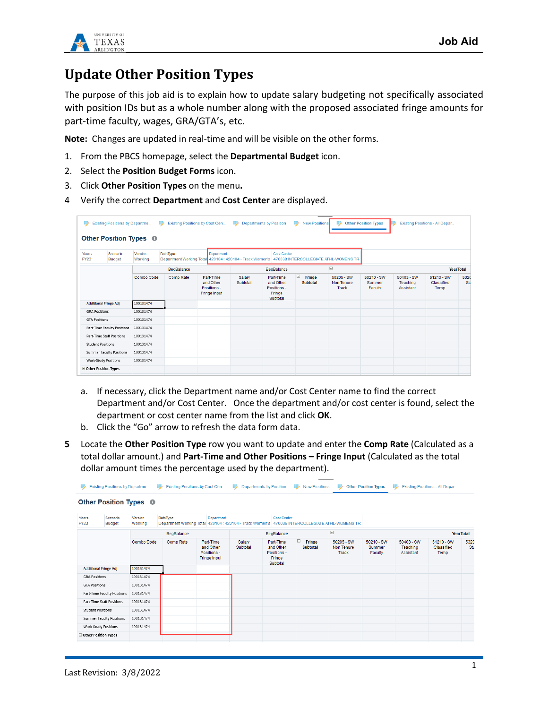

## **Update Other Position Types**

The purpose of this job aid is to explain how to update salary budgeting not specifically associated with position IDs but as a whole number along with the proposed associated fringe amounts for part-time faculty, wages, GRA/GTA's, etc.

**Note:** Changes are updated in real-time and will be visible on the other forms.

- 1. From the PBCS homepage, select the **Departmental Budget** icon.
- 2. Select the **Position Budget Forms** icon.
- 3. Click **Other Position Types** on the menu**.**
- 4 Verify the correct **Department** and **Cost Center** are displayed.

| B.                                                | Existing Positions by Departme    | ⋑                  |                 | Existing Positions by Cost Cen                               | <b>Allen</b>                                                                                                         | <b>Departments by Position</b>                              | B.<br><b>New Positions</b>            | в                                                 | <b>Other Position Types</b>     |                                     | Existing Positions - All Depar   |             |
|---------------------------------------------------|-----------------------------------|--------------------|-----------------|--------------------------------------------------------------|----------------------------------------------------------------------------------------------------------------------|-------------------------------------------------------------|---------------------------------------|---------------------------------------------------|---------------------------------|-------------------------------------|----------------------------------|-------------|
|                                                   | Other Position Types <sup>O</sup> |                    |                 |                                                              |                                                                                                                      |                                                             |                                       |                                                   |                                 |                                     |                                  |             |
| Scenario<br>Years<br><b>FY23</b><br><b>Budget</b> |                                   | Version<br>Working | <b>DataType</b> | Department                                                   | <b>Cost Center</b><br>Department Working Total 420104 : 420104 - Track Women's 470038 INTERCOLLEGIATE ATHL-WOMENS TR |                                                             |                                       |                                                   |                                 |                                     |                                  |             |
|                                                   |                                   | BegBalance         |                 |                                                              | BegBalance                                                                                                           |                                                             |                                       | $\left\vert \pm\right\rangle$<br><b>YearTotal</b> |                                 |                                     |                                  |             |
|                                                   |                                   | <b>Combo Code</b>  | Comp Rate       | Part-Time<br>and Other<br>Positions -<br><b>Fringe Input</b> | Salary<br>Subtotal                                                                                                   | Part-Time<br>and Other<br>Positions -<br>Fringe<br>Subtotal | $\equiv$<br>Fringe<br><b>Subtotal</b> | 50205 - SW<br>Non Tenure<br><b>Track</b>          | 50210 - SW<br>Summer<br>Faculty | 50403 - SW<br>Teaching<br>Assistant | 51210 - SW<br>Classified<br>Temp | 5320<br>Stu |
|                                                   | <b>Additional Fringe Adj</b>      | 100131474          |                 |                                                              |                                                                                                                      |                                                             |                                       |                                                   |                                 |                                     |                                  |             |
| <b>GRA Positions</b>                              |                                   | 100131474          |                 |                                                              |                                                                                                                      |                                                             |                                       |                                                   |                                 |                                     |                                  |             |
| <b>GTA Positions</b>                              |                                   | 100131474          |                 |                                                              |                                                                                                                      |                                                             |                                       |                                                   |                                 |                                     |                                  |             |
|                                                   | Part-Time Faculty Positions       | 100131474          |                 |                                                              |                                                                                                                      |                                                             |                                       |                                                   |                                 |                                     |                                  |             |
| Part-Time Staff Positions                         |                                   | 100131474          |                 |                                                              |                                                                                                                      |                                                             |                                       |                                                   |                                 |                                     |                                  |             |
|                                                   | <b>Student Positions</b>          | 100131474          |                 |                                                              |                                                                                                                      |                                                             |                                       |                                                   |                                 |                                     |                                  |             |
|                                                   | Summer Faculty Positions          | 100131474          |                 |                                                              |                                                                                                                      |                                                             |                                       |                                                   |                                 |                                     |                                  |             |
| <b>Work-Study Positions</b>                       |                                   | 100131474          |                 |                                                              |                                                                                                                      |                                                             |                                       |                                                   |                                 |                                     |                                  |             |
|                                                   | Other Position Types              |                    |                 |                                                              |                                                                                                                      |                                                             |                                       |                                                   |                                 |                                     |                                  |             |

- a. If necessary, click the Department name and/or Cost Center name to find the correct Department and/or Cost Center. Once the department and/or cost center is found, select the department or cost center name from the list and click **OK**.
- b. Click the "Go" arrow to refresh the data form data.
- **5** Locate the **Other Position Type** row you want to update and enter the **Comp Rate** (Calculated as a total dollar amount.) and **Part-Time and Other Positions – Fringe Input** (Calculated as the total dollar amount times the percentage used by the department).

| ₿<br>⋑<br>Existing Positions by Departme<br>Existing Positions by Cost Cen |                                   |                    |           |                                                       | ₿<br>₿<br>Departments by Position<br><b>New Positions</b>                                                              |                                                             |                                | ₿                                 | ⋑<br><b>Other Position Types</b><br>Existing Positions - All Depar |                                       |                                  |             |
|----------------------------------------------------------------------------|-----------------------------------|--------------------|-----------|-------------------------------------------------------|------------------------------------------------------------------------------------------------------------------------|-------------------------------------------------------------|--------------------------------|-----------------------------------|--------------------------------------------------------------------|---------------------------------------|----------------------------------|-------------|
|                                                                            | Other Position Types <sup>®</sup> |                    |           |                                                       |                                                                                                                        |                                                             |                                |                                   |                                                                    |                                       |                                  |             |
| Years<br><b>FY23</b>                                                       | Scenario<br><b>Budget</b>         | Version<br>Working | DataType  | Department                                            | <b>Cost Center</b><br>Department Working Total 420104 : 420104 - Track Women's   470038 INTERCOLLEGIATE ATHL-WOMENS TR |                                                             |                                |                                   |                                                                    |                                       |                                  |             |
|                                                                            |                                   | BegBalance         |           |                                                       | BegBalance                                                                                                             |                                                             |                                | 国<br><b>YearTotal</b>             |                                                                    |                                       |                                  |             |
|                                                                            |                                   | Combo Code         | Comp Rate | Part-Time<br>and Other<br>Positions -<br>Fringe Input | Salary<br>Subtotal                                                                                                     | Part-Time<br>and Other<br>Positions -<br>Fringe<br>Subtotal | Ξ<br>Fringe<br><b>Subtotal</b> | 50205 - SW<br>Non Tenure<br>Track | 50210 - SW<br>Summer<br>Faculty                                    | $50403 - SW$<br>Teaching<br>Assistant | 51210 - SW<br>Classified<br>Temp | 5320<br>Stu |
|                                                                            | <b>Additional Fringe Adi</b>      | 100131474          |           |                                                       |                                                                                                                        |                                                             |                                |                                   |                                                                    |                                       |                                  |             |
| <b>GRA Positions</b>                                                       |                                   | 100131474          |           |                                                       |                                                                                                                        |                                                             |                                |                                   |                                                                    |                                       |                                  |             |
| <b>GTA Positions</b>                                                       |                                   | 100131474          |           |                                                       |                                                                                                                        |                                                             |                                |                                   |                                                                    |                                       |                                  |             |
|                                                                            | Part-Time Faculty Positions       | 100131474          |           |                                                       |                                                                                                                        |                                                             |                                |                                   |                                                                    |                                       |                                  |             |
|                                                                            | Part-Time Staff Positions         | 100131474          |           |                                                       |                                                                                                                        |                                                             |                                |                                   |                                                                    |                                       |                                  |             |
| <b>Student Positions</b>                                                   |                                   | 100131474          |           |                                                       |                                                                                                                        |                                                             |                                |                                   |                                                                    |                                       |                                  |             |
|                                                                            | <b>Summer Faculty Positions</b>   | 100131474          |           |                                                       |                                                                                                                        |                                                             |                                |                                   |                                                                    |                                       |                                  |             |
|                                                                            | <b>Work-Study Positions</b>       | 100131474          |           |                                                       |                                                                                                                        |                                                             |                                |                                   |                                                                    |                                       |                                  |             |
| Other Position Types                                                       |                                   |                    |           |                                                       |                                                                                                                        |                                                             |                                |                                   |                                                                    |                                       |                                  |             |